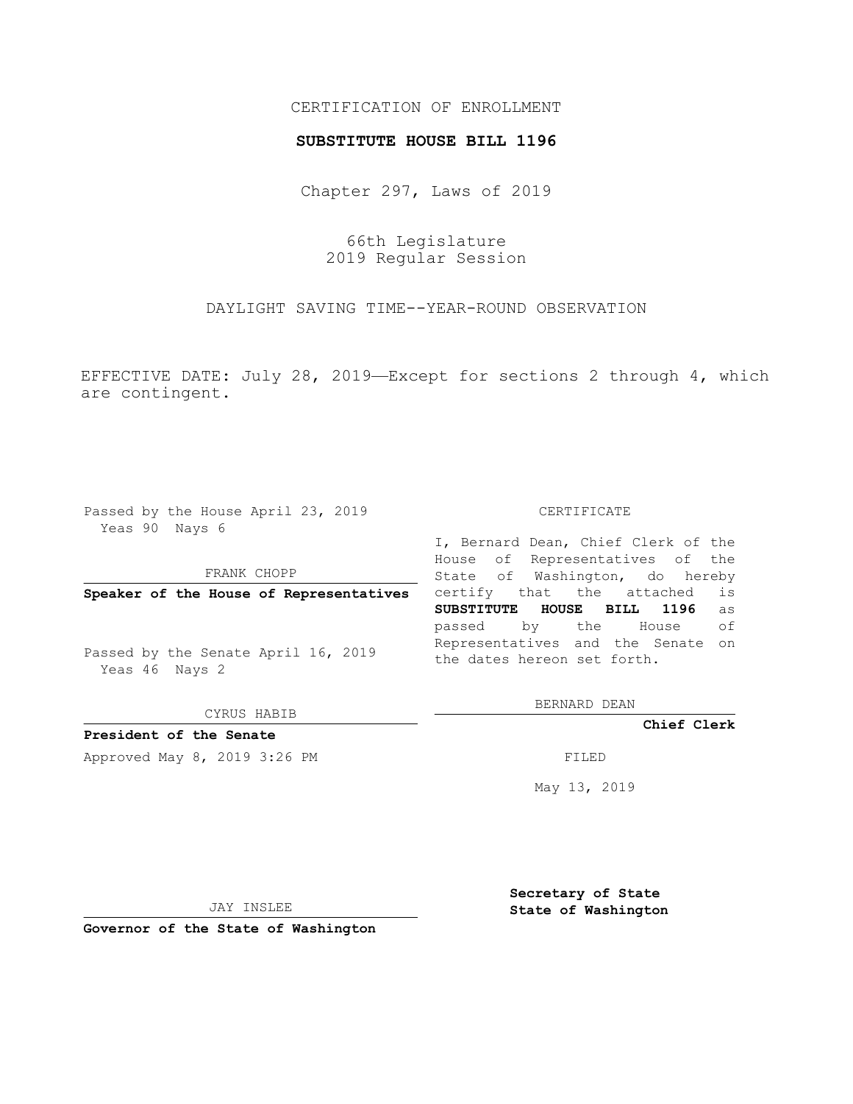## CERTIFICATION OF ENROLLMENT

### **SUBSTITUTE HOUSE BILL 1196**

Chapter 297, Laws of 2019

66th Legislature 2019 Regular Session

DAYLIGHT SAVING TIME--YEAR-ROUND OBSERVATION

EFFECTIVE DATE: July 28, 2019—Except for sections 2 through 4, which are contingent.

Passed by the House April 23, 2019 Yeas 90 Nays 6

#### FRANK CHOPP

**Speaker of the House of Representatives**

Passed by the Senate April 16, 2019 Yeas 46 Nays 2

CYRUS HABIB

# **President of the Senate**

Approved May 8, 2019 3:26 PM

#### CERTIFICATE

I, Bernard Dean, Chief Clerk of the House of Representatives of the State of Washington, do hereby certify that the attached is **SUBSTITUTE HOUSE BILL 1196** as passed by the House of Representatives and the Senate on the dates hereon set forth.

BERNARD DEAN

**Chief Clerk**

May 13, 2019

JAY INSLEE

**Governor of the State of Washington**

**Secretary of State State of Washington**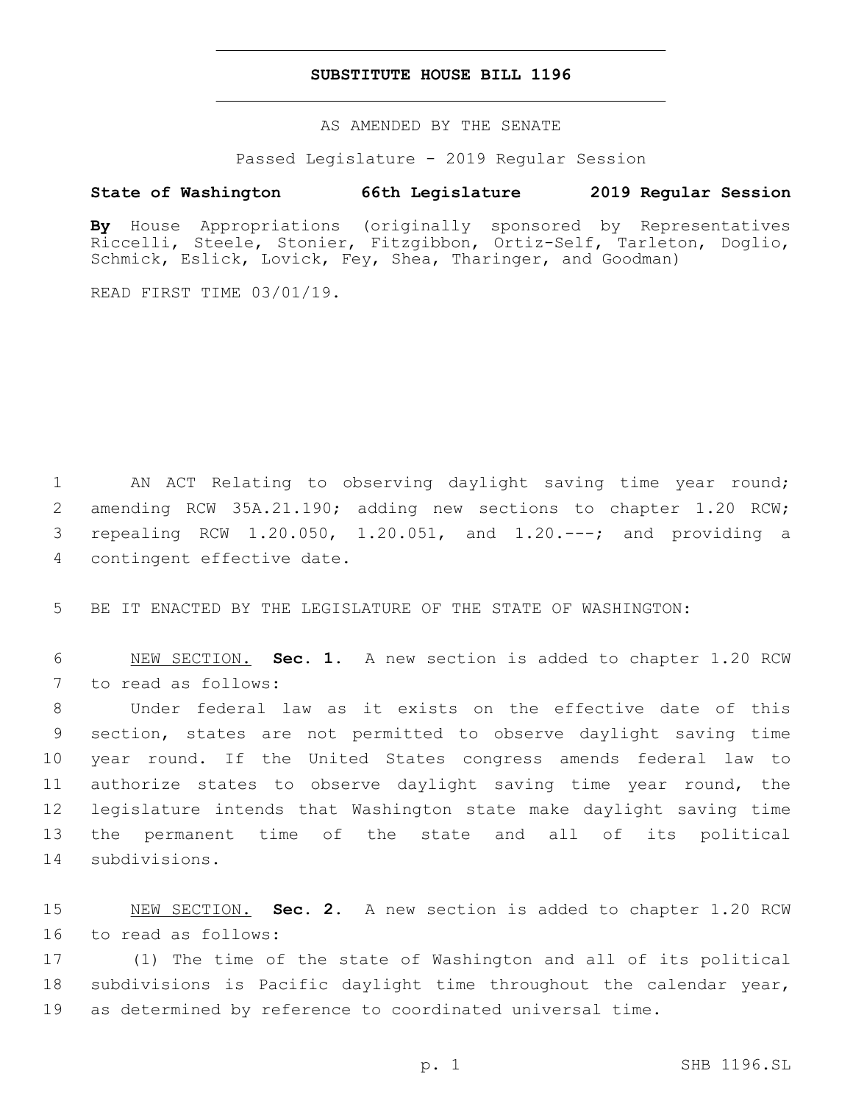## **SUBSTITUTE HOUSE BILL 1196**

AS AMENDED BY THE SENATE

Passed Legislature - 2019 Regular Session

## **State of Washington 66th Legislature 2019 Regular Session**

**By** House Appropriations (originally sponsored by Representatives Riccelli, Steele, Stonier, Fitzgibbon, Ortiz-Self, Tarleton, Doglio, Schmick, Eslick, Lovick, Fey, Shea, Tharinger, and Goodman)

READ FIRST TIME 03/01/19.

 AN ACT Relating to observing daylight saving time year round; amending RCW 35A.21.190; adding new sections to chapter 1.20 RCW; repealing RCW 1.20.050, 1.20.051, and 1.20.---; and providing a 4 contingent effective date.

5 BE IT ENACTED BY THE LEGISLATURE OF THE STATE OF WASHINGTON:

6 NEW SECTION. **Sec. 1.** A new section is added to chapter 1.20 RCW 7 to read as follows:

 Under federal law as it exists on the effective date of this section, states are not permitted to observe daylight saving time year round. If the United States congress amends federal law to authorize states to observe daylight saving time year round, the legislature intends that Washington state make daylight saving time the permanent time of the state and all of its political 14 subdivisions.

15 NEW SECTION. **Sec. 2.** A new section is added to chapter 1.20 RCW 16 to read as follows:

17 (1) The time of the state of Washington and all of its political 18 subdivisions is Pacific daylight time throughout the calendar year, 19 as determined by reference to coordinated universal time.